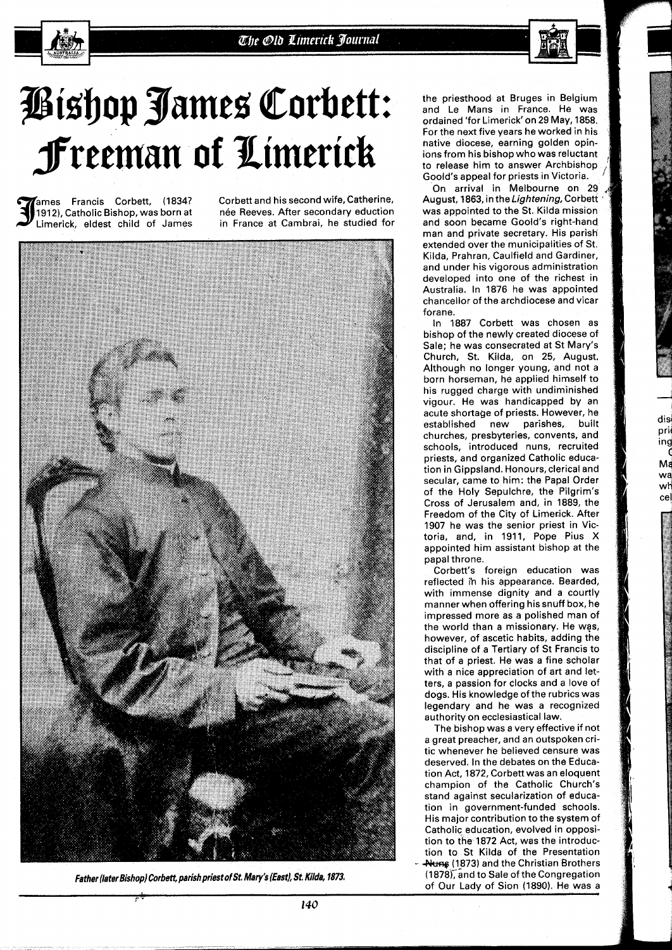## Bishop James Corbett: freeman of Ximerick

**Fames Francis Corbett, (1834? Corbett and his second wife, Catherine, The Stepter Corpus Corpus Corpus Corpus**<br>[1912], Catholic Bishop, was born at the Reeves, After secondary eduction

1912), Catholic Bishop, was born at nee Reeves. After secondary eduction<br>Limerick, eldest child of James in France at Cambrai, he studied for in France at Cambrai, he studied for



the priesthood at Bruges in Belgium and Le Mans in France. He was ordained 'for Limerick'on **29** May, **1858.**  For the next five years he worked in his native diocese, earning golden opinions from his bishop who was reluctant to release him to answer Archbisho Goold's appeal for priests in Victoria.

On arrival in Melbourne on 29 August, **1863,** in the Lightening, Corbett was appointed to the St. Kilda mission and soon became Goold's right-hand man and private secretary. His parish extended over the municipalities of St. Kilda, Prahran, Caulfield and Gardiner, and under his vigorous administration developed into one of the richest in Australia. In **1876** he was appointed chancellor of the archdiocese and vicar forane.

In **1887** Corbett was chosen as bishop of the newly created diocese of Sale; he was consecrated at St Mary's Church, St. Kilda, on **25,** August. Although no longer young, and not a born horseman, he applied himself to his rugged charge with undiminished vigour. He was handicapped by an acute shortage of priests. However, he established new parishes, built churches, presbyteries, convents, and schools, introduced nuns, recruited priests, and organized Catholic education in Gippsland. Honours, clerical and secular, came to him: the Papal Order of the Holy Sepulchre, the Pilgrim's Cross of Jerusalem and, in **1889,** the Freedom of the City of Limerick. After **1907** he was the senior priest in Victoria, and, in **1911,** Pope Pius **X**  appointed him assistant bishop at the papal throne.

dis prij n **g C**   $M\varepsilon$ Na ~ti cel

Corbett's foreign education was reflected i'n his appearance. Bearded, with immense dignity and a courtly manner when offering his snuff box, he impressed more as a polished man of the world than a missiohary. He wgs, however, of ascetic habits, adding the discipline of a Tertiary of St Francis to that of a priest. He was a fine scholar with a nice appreciation of art and letters, a passion for docks and a love of dogs. His knowledge of the rubrics was legendary and he was a recognized authority on ecclesiastical law.

The bishop was a very effective if not a great preacher, and an Outspoken critic whenever he believed censure was deserved. In the debates on the Education Act, **1872,** Corbett was an eloquent champion of the Catholic Church's stand against secularization of education in government-funded schools. His major contribution to the system of Catholic education, evolved in opposition to the **1872** Act, was the introduction to St Kilda of the Presentation **Auns** (1873) and the Christian Brothers<br>(1878), and to Sale of the Congregation **(1878);and** to Sale of the Congregation **Father [later Bishop) Corbett, parish priest ofSt Mary's [East), St Kilda, 1873'** of Our Lady of Sion **(1890).** He was a ,> l.